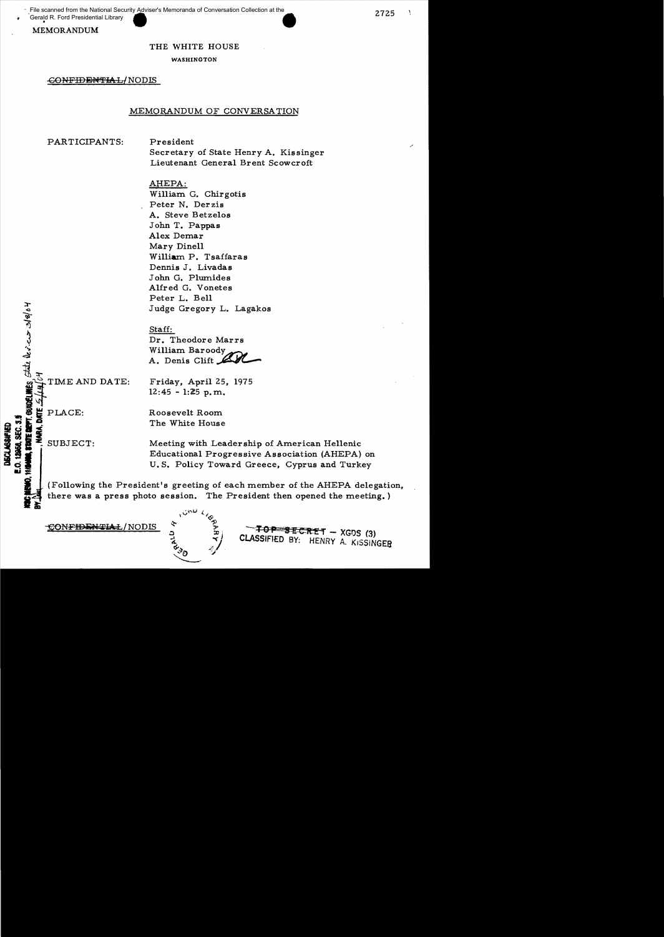File scanned from the National Security **Adviser's Memoranda of Conversation Collection at the** 

Gerald R. Ford Presidential Library

### MEMORANDUM

#### THE WHITE HOUSE

WASHINGTON

### CONFIDENTIAL/NODIS

### MEMORANDUM OF CONVERSATION

PARTICIPANTS:

President Secretary of State Henry A. Kissinger Lieutenant General Brent Scowcroft

AHEPA: William. G. Chirgotis Peter N. Der zis A. Steve Betze10s John T. Pappas Alex Demar Mary Dinell William P. Tsaffaras Dennis J. Livadas John G. Plumides Alfred G. Vonetes Peter L. Bell Judge Gregory L. Lagakos

#### Staff:

Dr. Theodore Marrs William. Baroody~ A. Denis Clift  $\mathcal{L}$ 

TIME AND DATE:

Friday, April 25, 1975  $12:45 - 1:25$  p.m.

**RIE RENT. GUBLER:**<br> **MARA, DATE**<br>
SUBJEC

 $|s|$ 04  $^{\prime\prime}$  $\sum_{i=1}^{n}$ 

 $\rightarrow$ 

Roosevelt Room.

The White House<br>
The White House<br>
The White House<br>
The White House<br>
The White House<br>
The White House<br>
The White House<br>
The White House<br>
The White House<br>
The White House<br>
The White House<br>
The White House<br>
The White House SUBJECT: Meeting with Leadership of American Hellenic Educational Progressive Association (AHEPA) on

O. S. Policy Toward Greece, Cyprus and Turkey<br>**at:**<br>(Following the President's greeting of each member of the AHEPA delegation, there was a press photo session. The President then opened the meeting.)

 $\text{COMFIDENTLAL/NODIS}$   $\sum_{p}$   $\text{TOP}$   $\text{BERT}$  - XGDS (3) CLASSIFIED BY: HENRY A. KISSiNGEB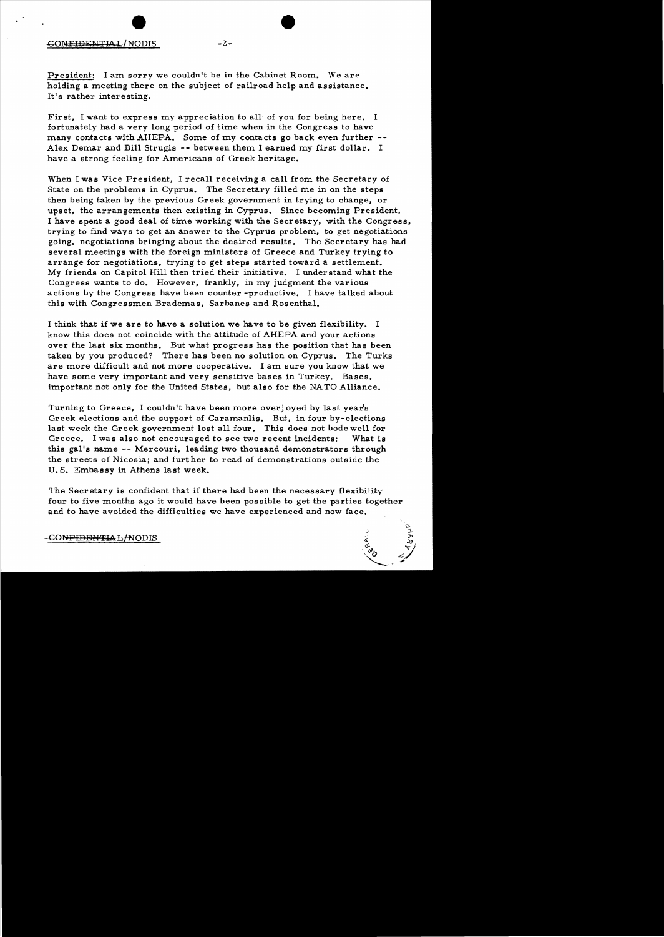President: I am sorry we couldn't be in the Cabinet Room. We are holding a meeting there on the subject of railroad help and assistance. It's rather interesting.

First, I want to express my appreciation to all of you for being here. I fortunately had a very long period of time when in the Congress to have many contacts with AHEPA. Some of my contacts go back even further --Alex Demar and Bill Strugis -- between them I earned my first dollar. I have a strong feeling for Americans of Greek heritage.

When I was Vice President, I recall receiving a call from the Secretary of State on the problems in Cyprus. The Secretary filled me in on the steps then being taken by the previous Greek government in trying to change. or upset, the arrangements then existing in Cyprus. Since becoming President, I have spent a good deal of time working with the Secretary, with the Congress. trying to find ways to get an answer to the Cyprus problem, to get negotiations going. negotiations bringing about the desired results. The Secretary has had several meetings with the foreign ministers of Greece and Turkey trying to arrange for negotiations. trying to get steps started toward a settlement. My friends on Capitol Hill then tried their initiative. I understand what the Congress wants to do. However, frankly, in my judgment the various actions by the Congress have been counter -productive. I have talked about this with Congressmen Brademas, Sarbanes and Rosenthal.

I think that if we are to have a solution we have to be given flexibility. I know this does not coincide with the attitude of AHEPA and your actions over the last six months. But what progress has the position that has been taken by you produced? There has been no solution on Cyprus. The Turks are more difficult and not more cooperative. I am sure you know that we have some very important and very sensitive bases in Turkey. Bases, important not only for the United States, but also for the NA TO Alliance.

Turning to Greece, I couldn't have been more overj oyed by last year's Greek elections and the support of Caramanlis. But, in four by-elections last week the Greek government lost all four. This does not bode well for Greece. I was also not encouraged to see two recent incidents: What is this gal's name -- Mercouri. leading two thousand demonstrators through the streets of Nicosia; and further to read of demonstrations outside the U. S. Embassy in Athens last week.

The Secretary is confident that if there had been the necessary flexibility four to five months ago it would have been possible to get the parties together and to have avoided the difficulties we have experienced and now face.

# -GONFIDENTIAL/NODIS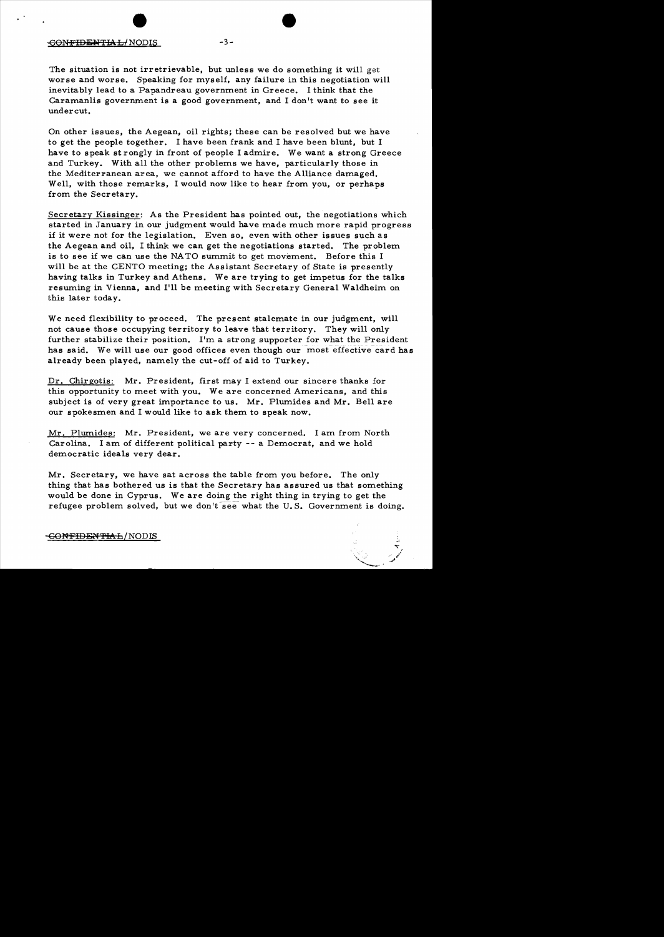#### -CONFIDBiWTIAL/NODIS -3

The situation is not irretrievable, but unless we do something it will get worse and worse. Speaking for myself, any failure in this negotiation will inevitably lead to a Papandreau government in Greece. I think that the Caramanlis government is a good government, and I don't want to see it undercut.

On other issues, the Aegean, oil rights; these can be resolved but we have to get the people together. I have been frank and I have been blunt, but I have to speak st rongly in front of people I admire. We want a strong Greece and Turkey. With all the other problems we have, particularly those in the Mediterranean area, we cannot afford to have the Alliance damaged. Well, with those remarks, I would now like to hear from you, or perhaps from the Secretary.

Secretary Kissinger: As the President has pointed out, the negotiations which started in January in our judgment would have made much more rapid progress if it were not for the legislation. Even so, even with other issues such as the Aegean and oil, I think we can get the negotiations started. The problem is to see if we can use the NA TO summit to get movement. Before this I will be at the CENTO meeting; the Assistant Secretary of State is presently having talks in Turkey and Athens. We are trying to get impetus for the talks resuming in Vienna, and I'll be meeting with Secretary General Waldheim on this later today.

We need flexibility to proceed. The present stalemate in our judgment, will not cause those occupying territory to leave that territory. They will only further stabilize their position. I'm a strong supporter for what the President has said. We will use our good offices even though our most effective card has already been played, namely the cut-off of aid to Turkey.

Dr. Chirgotis: Mr. President, first may I extend our sincere thanks for this opportunity to meet with you. We are concerned Americans, and this subject is of very great importance to us. Mr. Plumides and Mr. Bell are our spokesmen and I would like to ask them to speak now.

Mr. Plumides: Mr. President, we are very concerned. I am from North Carolina. I am of different political party -- a Democrat, and we hold democratic ideals very dear.

Mr. Secretary, we have sat across the table from you before. The only thing that has bothered us is that the Secretary has assured us that something would be done in Cyprus. We are doing the right thing in trying to get the refugee problem solved, but we don't see what the U.S. Government is doing.

#### GONFIDENTIAL/ NODIS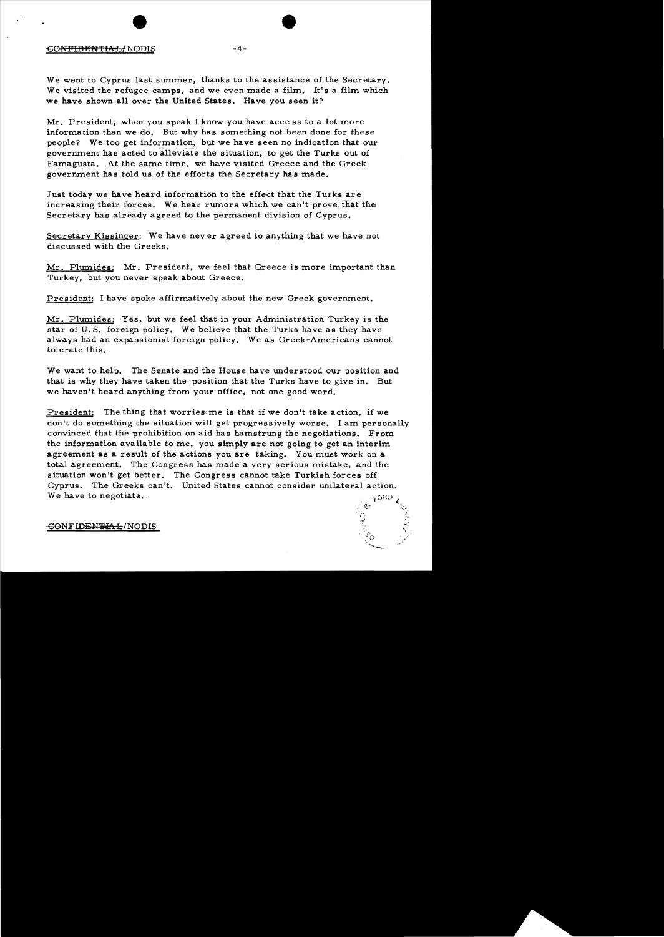#### -60PH'IDEN'l'IAL/NODIS **-4**

We went to Cyprus last summer, thanks to the assistance of the Secretary. We visited the refugee camps, and we even made a film. It's a film which we have shown all over the United States. Have you seen it?

Mr. President, when you speak I know you have acce ss to a lot more information than we do. But why has something not been done for these people? We too get information, but we have seen no indication that our government has acted to alleviate the situation, to get the Turks out of Famagusta. At the same time, we have visited Greece and the Greek government has told us of the efforts the Secretary has made.

Just today we have heard information to the effect that the Turks are increasing their forces. We hear rumors which we can't prove that the Secretary has already agreed to the permanent division of Cyprus.

Secretary Kissinger: We have never agreed to anything that we have not discussed with the Greeks.

Mr. Plumides: Mr. President, we feel that Greece is more important than Turkey, but you never speak about Greece.

President: I have spoke affirmatively about the new Greek government.

Mr. Plumides: Yes, but we feel that in your Administration Turkey is the star of U. S. foreign policy. We believe that the Turks have as they have always had an expansionist foreign policy. We as Greek-Americans cannot tolerate this.

We want to help. The Senate and the House have understood our position and that is why they have taken the. position that the Turks have to give in. But we haven't heard anything from your office, not one good word.

President: The thing that worries;me is that if we don't take action, if we don't do something the situation will get progressively worse. I am personally convinced that the prohibition on aid has hamstrung the negotiations. From the information available to me, you simply are not going to get an interim agreement as a result of the actions you are taking. You must work on a total agreement. The Congress has made a very serious mistake, and the situation won't get better. The Congress cannot take Turkish forces off Cyprus. The Greeks can't. United States cannot consider unilateral action. We have to negotiate...  $\epsilon$ O $^{E,D}$   $_{\rm C}$  .

 $\mathfrak{S}^{\alpha}$  , or  $\mathfrak{S}^{\alpha}_{\alpha\beta}$ , {) ::~,.

 $\frac{1}{N}\,$ 

GONFIDENTIAL/NODIS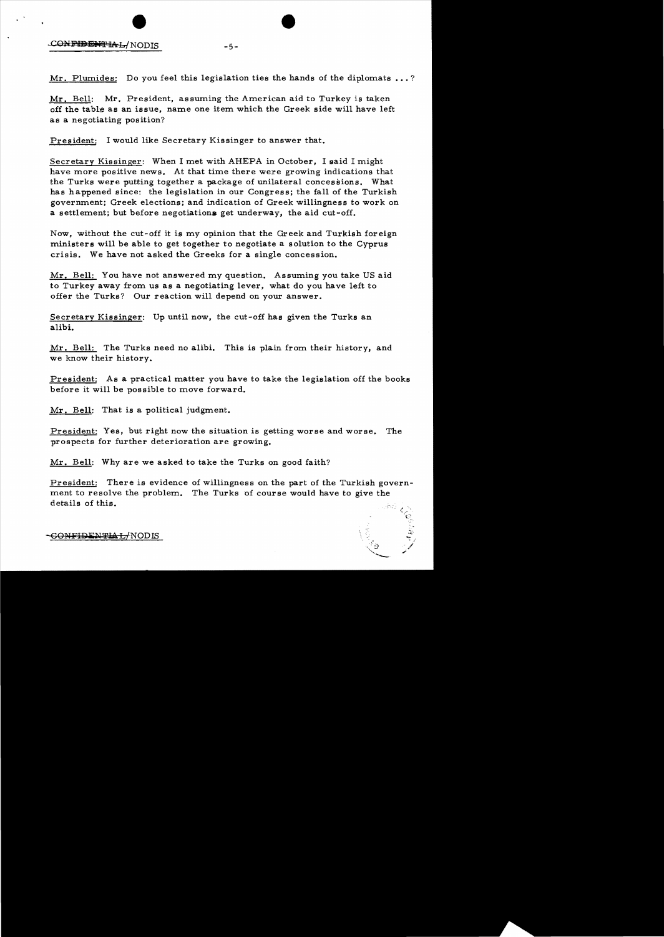# CONFIDENTIAL/NODIS

Mr. Plumides: Do you feel this legislation ties the hands of the diplomats ...?

 $-5-$ 

Mr. Bell: Mr. President, assuming the American aid to Turkey is taken off the table as an issue, name one item which the Greek side will have left as a negotiating position?

President: I would like Secretary Kissinger to answer that.

Secretary Kissinger: When I met with AHEPA in October, I said I might have more positive news. At that time there were growing indications that the Turks were putting together a package of unilateral concessions. What has happened since: the legislation in our Congress; the fall of the Turkish government; Greek elections; and indication of Greek willingness to work on a settlement; but before negotiations get underway, the aid cut-off.

Now, without the cut-off it is my opinion that the Greek and Turkish foreign ministers will be able to get together to negotiate a solution to the Cyprus crisis. We have not asked the Greeks for a single concession.

Mr. Bell: You have not answered my question. Assuming you take US aid to Turkey away from us as a negotiating lever, what do you have left to offer the Turks? Our reaction will depend on your answer.

Secretary Kissinger: Up until now, the cut-off has given the Turks an alibi.

Mr. Bell: The Turks need no alibi. This is plain from their history, and we know their history.

President: As a practical matter you have to take the legislation off the books before it will be possible to move forward.

Mr. Bell: That is a political judgment.

President: Yes, but right now the situation is getting worse and worse. The prospects for further deterioration are growing.

Mr. Bell: Why are we asked to take the Turks on good faith?

President: There is evidence of willingness on the part of the Turkish government to resolve the problem. The Turks of course would have to give the details of this.

> <".:} ',  $\tilde{}$

-GO<del>NFIDENTIAL/</del>NODIS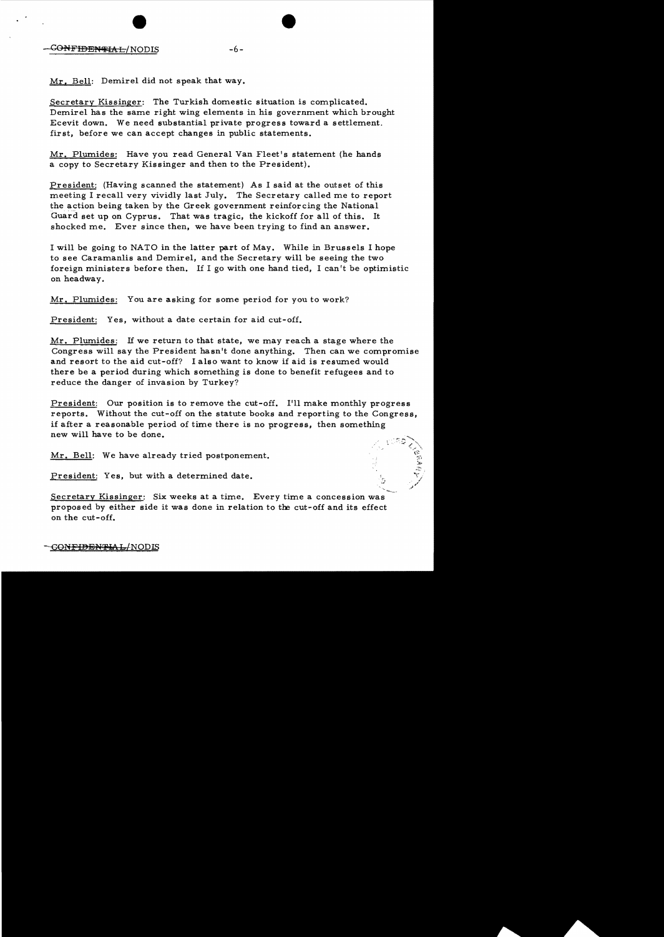Mr. Bell: Demirel did not speak that way.

Secretary Kissinger: The Turkish domestic situation is complicated. Demirel has the same right wing elements in his government which brought Ecevit down. We need substantial private progress toward a settlement. first, before we can accept changes in public statements.

 $-6-$ 

Mr. Plumides: Have you read General Van Fleet's statement (he hands a copy to Secretary Kissinger and then to the President).

President: (Having scanned the statement) As I said at the outset of this meeting I recall very vividly last July. The Secretary called me to report the action being taken by the Greek government reinforcing the National Guard set up on Cyprus. That was tragic, the kickoff for all of this. It shocked me. Ever since then, we have been trying to find an answer.

I will be going to NATO in the latter part of May. While in Brussels I hope to see Caramanlis and Demirel, and the Secretary will be seeing the two foreign ministers before then. If I go with one hand tied, I can't be optimistic on headway,

Mr. Plumides: You are asking for some period for you to work?

President: Yes, without a date certain for aid cut-off.

Mr. Plumides: If we return to that state, we may reach a stage where the Congress will say the President hasn't done anything. Then can we compromise and resort to the aid cut-off? I also want to know if aid is resumed would there be a period during which something is done to benefit refugees and to reduce the danger of invasion by Turkey?

President: Our position is to remove the cut-off. I'll make monthly progress reports. Without the cut-off on the statute books and reporting to the Congress, if after a reasonable period of time there is no progress, then something new will have to be done.

Mr. Bell: We have already tried postponement.

President: Yes, but with a determined date.

Secretary Kissinger: Six weeks at a time. Every time a concession was proposed by either side it was done in relation to the cut-off and its effect on the cut- off.

# -<del>CONFIDENTIAL/</del>NODIS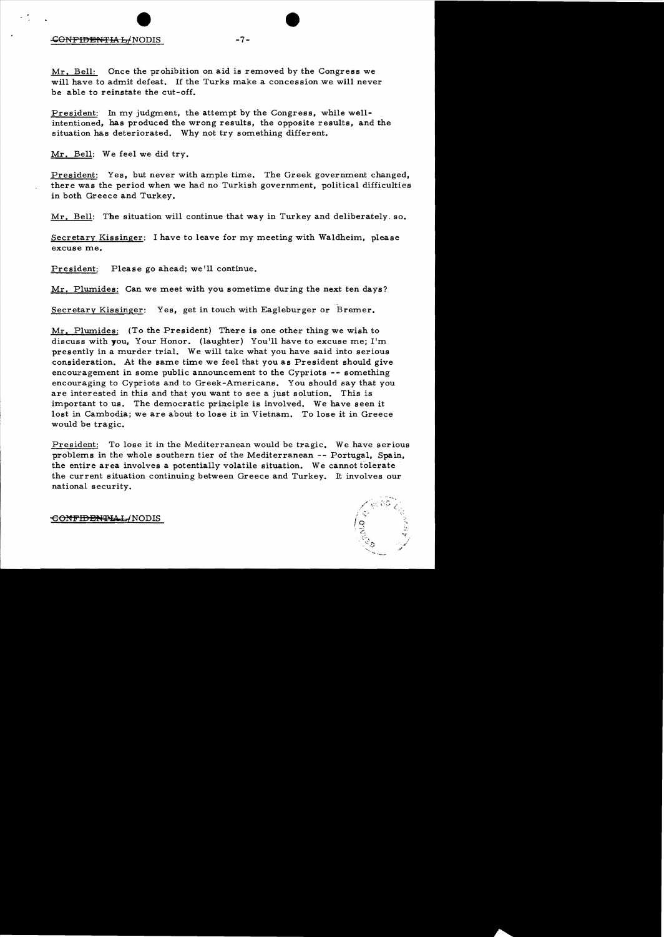## CONFIDENTIAL/NODIS -7-

Mr. Bell: Once the prohibition on aid is removed by the Congress we will have to admit defeat. If the Turks make a concession we will never be able to reinstate the cut-off.

President: In my judgment, the attempt by the Congress, while wellintentioned, has produced the wrong results, the opposite results, and the situation has deteriorated. Why not try something different.

Mr. Bell: We feel we did try.

President: Yes, but never with ample time. The Greek government changed, there was the period when we had no Turkish government, political difficulties in both Greece and Turkey.

Mr. Bell: The situation will continue that way in Turkey and deliberately. so.

Secretary Kissinger: I have to leave for my meeting with Waldheim, please excuse me.

President: Please go ahead; we'll continue.

Mr. Plumides: Can we meet with you sometime during the next ten days?

Secretary Kissinger: Yes, get in touch with Eagleburger or Bremer.

Mr. Plumides: (To the President) There is one other thing we wish to discuss with you, Your Honor. (laughter) You'll have to excuse me; I'm presently in a murder trial. We will take what you have said into serious consideration. At the same time we feel that you as President should give encouragement in some public announcement to the Cypriots -- something encouraging to Cypriots and to Greek-Americans. You should say that you are interested in this and that you want to see a just solution. This is important to us. The democratic principle is involved. We have seen it lost in Cambodia; we are about to lose it in Vietnam. To lose it in Greece would be tragic.

President: To lose it in the Mediterranean would be tragic. We have serious problems in the whole southern tier of the Mediterranean -- Portugal, Spain, the entire area involves a potentially volatile situation. We cannot tolerate the current situation continuing between Greece and Turkey. It involves our national security.



<del>CONFIDENTIAL/</del>NODIS